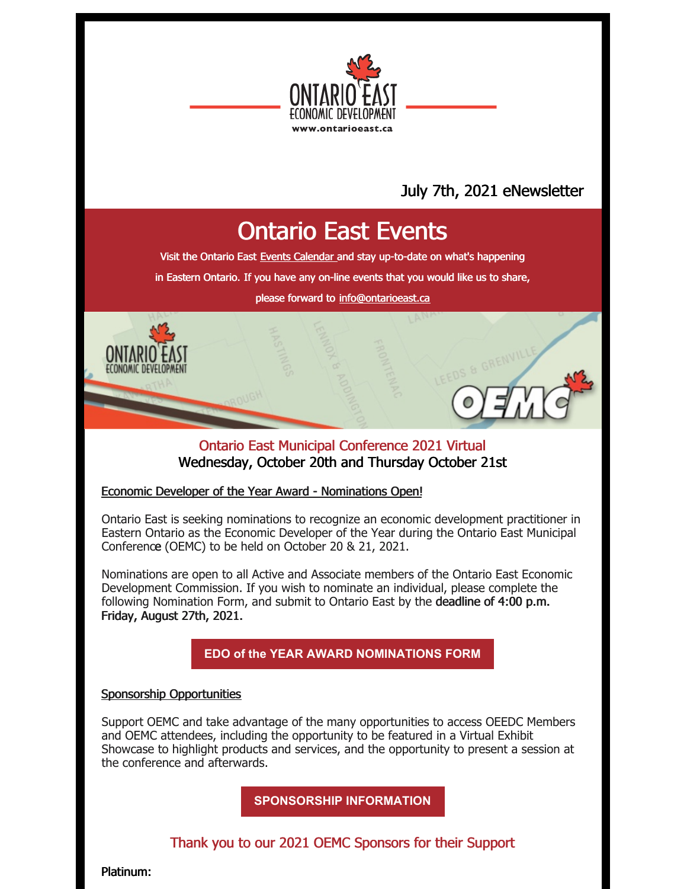

# July 7th, 2021 eNewsletter

# Ontario East Events

Visit the Ontario East Events [Calendar](https://ontarioeast.ca/events) and stay up-to-date on what's happening

in Eastern Ontario. If you have any on-line events that you would like us to share,

please forward to [info@ontarioeast.ca](mailto:info@ontarioeast.ca)

### Ontario East Municipal Conference 2021 Virtual Wednesday, October 20th and Thursday October 21st

#### Economic Developer of the Year Award - Nominations Open!

Ontario East is seeking nominations to recognize an economic development practitioner in Eastern Ontario as the Economic Developer of the Year during the Ontario East Municipal Conference (OEMC) to be held on October 20 & 21, 2021.

Nominations are open to all Active and Associate members of the Ontario East Economic Development Commission. If you wish to nominate an individual, please complete the following Nomination Form, and submit to Ontario East by the deadline of 4:00 p.m. Friday, August 27th, 2021.

**EDO of the YEAR AWARD [NOMINATIONS](https://files.constantcontact.com/35c7e81d001/18802b7b-5c81-47a5-86f7-2d622c3bb928.docx?rdr=true) FORM**

#### Sponsorship Opportunities

Support OEMC and take advantage of the many opportunities to access OEEDC Members and OEMC attendees, including the opportunity to be featured in a Virtual Exhibit Showcase to highlight products and services, and the opportunity to present a session at the conference and afterwards.

**[SPONSORSHIP](https://oemc.ca/2021-sponsorship-opportunities/) INFORMATION**

## Thank you to our 2021 OEMC Sponsors for their Support

Platinum: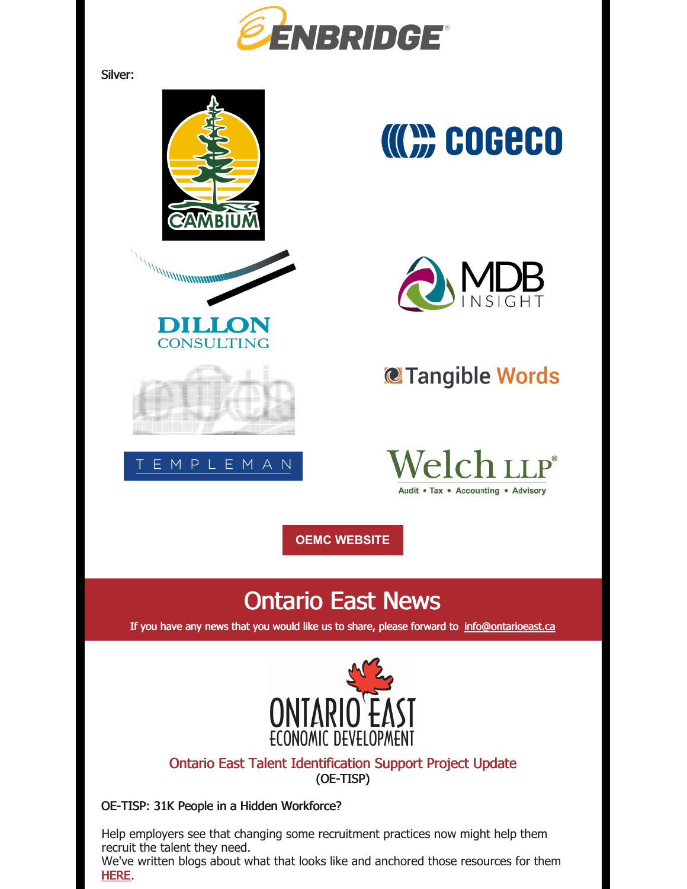

Silver:



Help employers see that changing some recruitment practices now might help them recruit the talent they need.

We've written blogs about what that looks like and anchored those resources for them [HERE](https://offers.ontarioeast.ca/en-ca/hiring-staff).